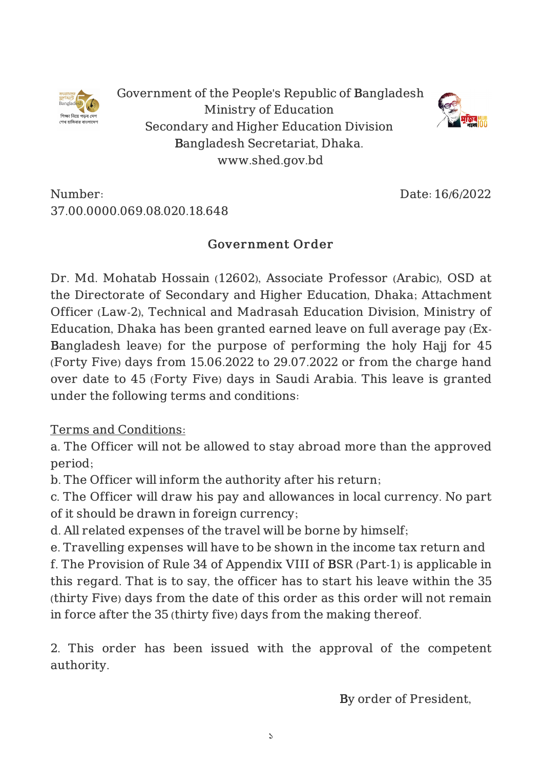

Government of the People's Republic of Bangladesh Ministry of Education Secondary and Higher Education Division Bangladesh Secretariat, Dhaka. www.shed.gov.bd



Number: 37.00.0000.069.08.020.18.648 Date: 16/6/2022

## Government Order

Dr. Md. Mohatab Hossain (12602), Associate Professor (Arabic), OSD at the Directorate of Secondary and Higher Education, Dhaka; Attachment Officer (Law-2), Technical and Madrasah Education Division, Ministry of Education, Dhaka has been granted earned leave on full average pay (Ex-Bangladesh leave) for the purpose of performing the holy Hajj for 45 (Forty Five) days from 15.06.2022 to 29.07.2022 or from the charge hand over date to 45 (Forty Five) days in Saudi Arabia. This leave is granted under the following terms and conditions:

Terms and Conditions:

a. The Officer will not be allowed to stay abroad more than the approved period;

b. The Officer will inform the authority after his return;

c. The Officer will draw his pay and allowances in local currency. No part of it should be drawn in foreign currency;

d. All related expenses of the travel will be borne by himself;

e. Travelling expenses will have to be shown in the income tax return and f. The Provision of Rule 34 of Appendix VIII of BSR (Part-1) is applicable in this regard. That is to say, the officer has to start his leave within the 35 (thirty Five) days from the date of this order as this order will not remain in force after the 35 (thirty five) days from the making thereof.

2. This order has been issued with the approval of the competent authority.

By order of President,